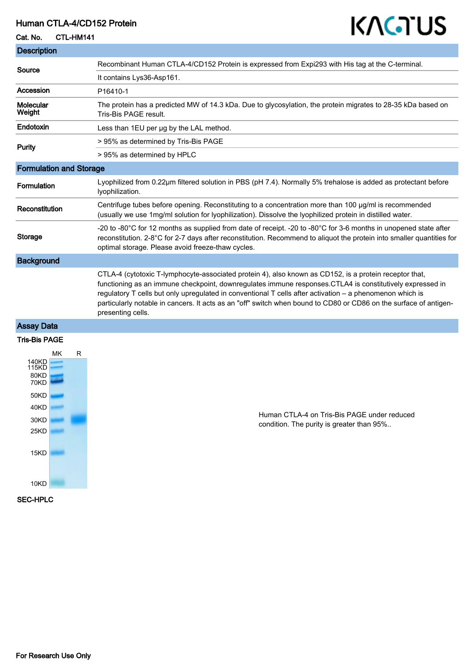### Human CTLA-4/CD152 Protein

#### Cat. No. CTL-HM141

# KAGTUS

| <b>Description</b>             |                                                                                                                                                                                                                                                                                                                                                                                                                                                                           |
|--------------------------------|---------------------------------------------------------------------------------------------------------------------------------------------------------------------------------------------------------------------------------------------------------------------------------------------------------------------------------------------------------------------------------------------------------------------------------------------------------------------------|
| Source                         | Recombinant Human CTLA-4/CD152 Protein is expressed from Expi293 with His tag at the C-terminal.                                                                                                                                                                                                                                                                                                                                                                          |
|                                | It contains Lys36-Asp161.                                                                                                                                                                                                                                                                                                                                                                                                                                                 |
| Accession                      | P16410-1                                                                                                                                                                                                                                                                                                                                                                                                                                                                  |
| <b>Molecular</b><br>Weight     | The protein has a predicted MW of 14.3 kDa. Due to glycosylation, the protein migrates to 28-35 kDa based on<br>Tris-Bis PAGE result.                                                                                                                                                                                                                                                                                                                                     |
| Endotoxin                      | Less than 1EU per ug by the LAL method.                                                                                                                                                                                                                                                                                                                                                                                                                                   |
| Purity                         | > 95% as determined by Tris-Bis PAGE                                                                                                                                                                                                                                                                                                                                                                                                                                      |
|                                | > 95% as determined by HPLC                                                                                                                                                                                                                                                                                                                                                                                                                                               |
| <b>Formulation and Storage</b> |                                                                                                                                                                                                                                                                                                                                                                                                                                                                           |
| Formulation                    | Lyophilized from 0.22µm filtered solution in PBS (pH 7.4). Normally 5% trehalose is added as protectant before<br>Ivophilization.                                                                                                                                                                                                                                                                                                                                         |
| Reconstitution                 | Centrifuge tubes before opening. Reconstituting to a concentration more than 100 µg/ml is recommended<br>(usually we use 1mg/ml solution for lyophilization). Dissolve the lyophilized protein in distilled water.                                                                                                                                                                                                                                                        |
| Storage                        | -20 to -80°C for 12 months as supplied from date of receipt. -20 to -80°C for 3-6 months in unopened state after<br>reconstitution. 2-8°C for 2-7 days after reconstitution. Recommend to aliquot the protein into smaller quantities for<br>optimal storage. Please avoid freeze-thaw cycles.                                                                                                                                                                            |
| <b>Background</b>              |                                                                                                                                                                                                                                                                                                                                                                                                                                                                           |
|                                | CTLA-4 (cytotoxic T-lymphocyte-associated protein 4), also known as CD152, is a protein receptor that,<br>functioning as an immune checkpoint, downregulates immune responses. CTLA4 is constitutively expressed in<br>regulatory T cells but only upregulated in conventional T cells after activation - a phenomenon which is<br>particularly notable in cancers. It acts as an "off" switch when bound to CD80 or CD86 on the surface of antigen-<br>presenting cells. |
| <b>Assay Data</b>              |                                                                                                                                                                                                                                                                                                                                                                                                                                                                           |

#### Tris-Bis PAGE



Human CTLA-4 on Tris-Bis PAGE under reduced condition. The purity is greater than 95%..